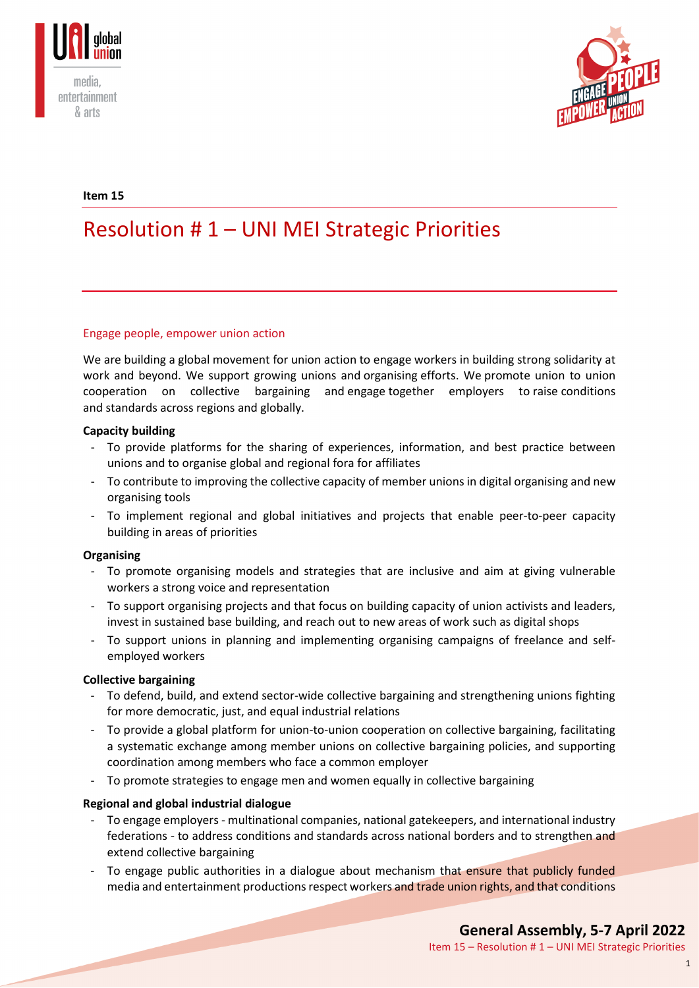



### **Item 15**

# Resolution # 1 – UNI MEI Strategic Priorities

#### Engage people, empower union action

We are building a global movement for union action to engage workers in building strong solidarity at work and beyond. We support growing unions and organising efforts. We promote union to union cooperation on collective bargaining and engage together employers to raise conditions and standards across regions and globally.

#### **Capacity building**

- To provide platforms for the sharing of experiences, information, and best practice between unions and to organise global and regional fora for affiliates
- To contribute to improving the collective capacity of member unions in digital organising and new organising tools
- To implement regional and global initiatives and projects that enable peer-to-peer capacity building in areas of priorities

#### **Organising**

- To promote organising models and strategies that are inclusive and aim at giving vulnerable workers a strong voice and representation
- To support organising projects and that focus on building capacity of union activists and leaders, invest in sustained base building, and reach out to new areas of work such as digital shops
- To support unions in planning and implementing organising campaigns of freelance and selfemployed workers

#### **Collective bargaining**

- To defend, build, and extend sector-wide collective bargaining and strengthening unions fighting for more democratic, just, and equal industrial relations
- To provide a global platform for union-to-union cooperation on collective bargaining, facilitating a systematic exchange among member unions on collective bargaining policies, and supporting coordination among members who face a common employer
- To promote strategies to engage men and women equally in collective bargaining

#### **Regional and global industrial dialogue**

- To engage employers multinational companies, national gatekeepers, and international industry federations - to address conditions and standards across national borders and to strengthen and extend collective bargaining
- To engage public authorities in a dialogue about mechanism that ensure that publicly funded media and entertainment productions respect workers and trade union rights, and that conditions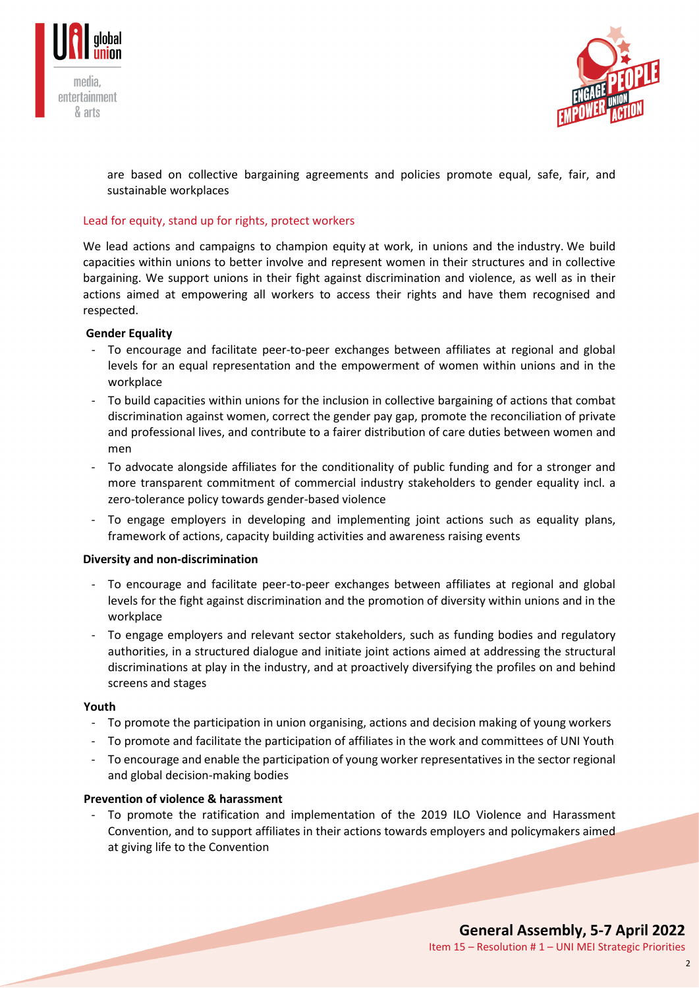



are based on collective bargaining agreements and policies promote equal, safe, fair, and sustainable workplaces

### Lead for equity, stand up for rights, protect workers

We lead actions and campaigns to champion equity at work, in unions and the industry. We build capacities within unions to better involve and represent women in their structures and in collective bargaining. We support unions in their fight against discrimination and violence, as well as in their actions aimed at empowering all workers to access their rights and have them recognised and respected.

#### **Gender Equality**

- To encourage and facilitate peer-to-peer exchanges between affiliates at regional and global levels for an equal representation and the empowerment of women within unions and in the workplace
- To build capacities within unions for the inclusion in collective bargaining of actions that combat discrimination against women, correct the gender pay gap, promote the reconciliation of private and professional lives, and contribute to a fairer distribution of care duties between women and men
- To advocate alongside affiliates for the conditionality of public funding and for a stronger and more transparent commitment of commercial industry stakeholders to gender equality incl. a zero-tolerance policy towards gender-based violence
- To engage employers in developing and implementing joint actions such as equality plans, framework of actions, capacity building activities and awareness raising events

#### **Diversity and non-discrimination**

- To encourage and facilitate peer-to-peer exchanges between affiliates at regional and global levels for the fight against discrimination and the promotion of diversity within unions and in the workplace
- To engage employers and relevant sector stakeholders, such as funding bodies and regulatory authorities, in a structured dialogue and initiate joint actions aimed at addressing the structural discriminations at play in the industry, and at proactively diversifying the profiles on and behind screens and stages

#### **Youth**

- To promote the participation in union organising, actions and decision making of young workers
- To promote and facilitate the participation of affiliates in the work and committees of UNI Youth
- To encourage and enable the participation of young worker representatives in the sector regional and global decision-making bodies

#### **Prevention of violence & harassment**

To promote the ratification and implementation of the 2019 ILO Violence and Harassment Convention, and to support affiliates in their actions towards employers and policymakers aimed at giving life to the Convention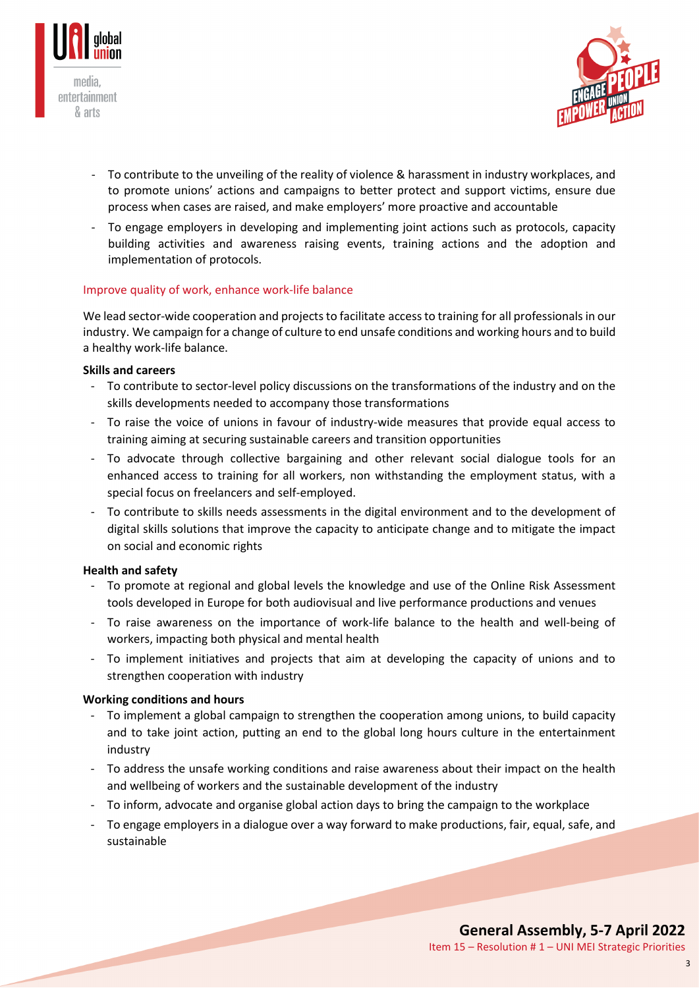



- To contribute to the unveiling of the reality of violence & harassment in industry workplaces, and to promote unions' actions and campaigns to better protect and support victims, ensure due process when cases are raised, and make employers' more proactive and accountable
- To engage employers in developing and implementing joint actions such as protocols, capacity building activities and awareness raising events, training actions and the adoption and implementation of protocols.

## Improve quality of work, enhance work-life balance

We lead sector-wide cooperation and projects to facilitate access to training for all professionals in our industry. We campaign for a change of culture to end unsafe conditions and working hours and to build a healthy work-life balance.

#### **Skills and careers**

- To contribute to sector-level policy discussions on the transformations of the industry and on the skills developments needed to accompany those transformations
- To raise the voice of unions in favour of industry-wide measures that provide equal access to training aiming at securing sustainable careers and transition opportunities
- To advocate through collective bargaining and other relevant social dialogue tools for an enhanced access to training for all workers, non withstanding the employment status, with a special focus on freelancers and self-employed.
- To contribute to skills needs assessments in the digital environment and to the development of digital skills solutions that improve the capacity to anticipate change and to mitigate the impact on social and economic rights

#### **Health and safety**

- To promote at regional and global levels the knowledge and use of the Online Risk Assessment tools developed in Europe for both audiovisual and live performance productions and venues
- To raise awareness on the importance of work-life balance to the health and well-being of workers, impacting both physical and mental health
- To implement initiatives and projects that aim at developing the capacity of unions and to strengthen cooperation with industry

#### **Working conditions and hours**

- To implement a global campaign to strengthen the cooperation among unions, to build capacity and to take joint action, putting an end to the global long hours culture in the entertainment industry
- To address the unsafe working conditions and raise awareness about their impact on the health and wellbeing of workers and the sustainable development of the industry
- To inform, advocate and organise global action days to bring the campaign to the workplace
- To engage employers in a dialogue over a way forward to make productions, fair, equal, safe, and sustainable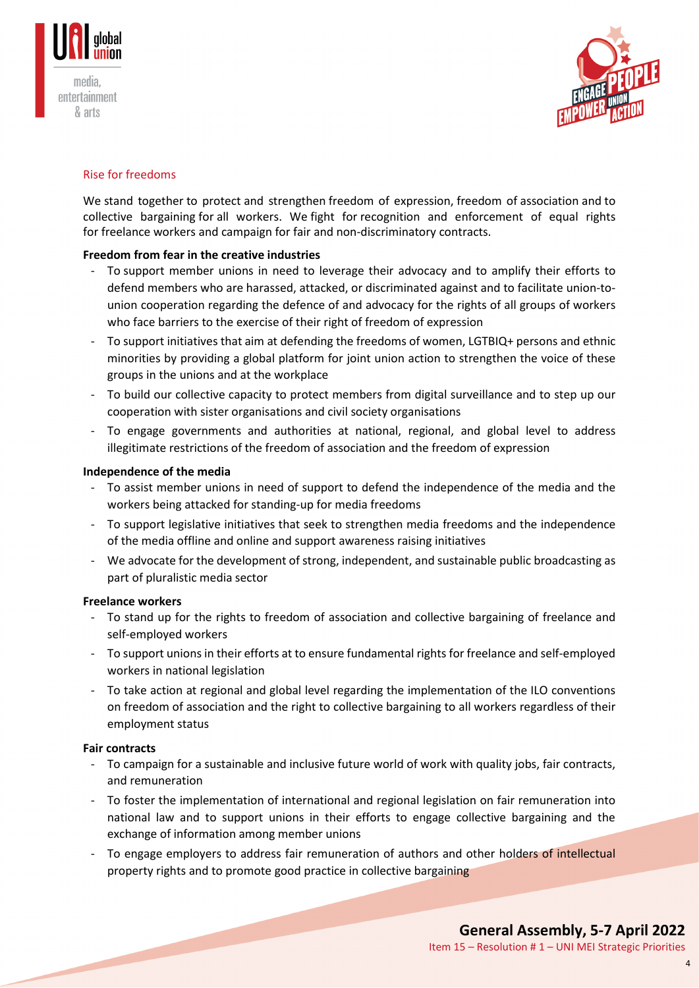



## Rise for freedoms

We stand together to protect and strengthen freedom of expression, freedom of association and to collective bargaining for all workers. We fight for recognition and enforcement of equal rights for freelance workers and campaign for fair and non-discriminatory contracts.

## **Freedom from fear in the creative industries**

- To support member unions in need to leverage their advocacy and to amplify their efforts to defend members who are harassed, attacked, or discriminated against and to facilitate union-tounion cooperation regarding the defence of and advocacy for the rights of all groups of workers who face barriers to the exercise of their right of freedom of expression
- To support initiatives that aim at defending the freedoms of women, LGTBIQ+ persons and ethnic minorities by providing a global platform for joint union action to strengthen the voice of these groups in the unions and at the workplace
- To build our collective capacity to protect members from digital surveillance and to step up our cooperation with sister organisations and civil society organisations
- To engage governments and authorities at national, regional, and global level to address illegitimate restrictions of the freedom of association and the freedom of expression

#### **Independence of the media**

- To assist member unions in need of support to defend the independence of the media and the workers being attacked for standing-up for media freedoms
- To support legislative initiatives that seek to strengthen media freedoms and the independence of the media offline and online and support awareness raising initiatives
- We advocate for the development of strong, independent, and sustainable public broadcasting as part of pluralistic media sector

#### **Freelance workers**

- To stand up for the rights to freedom of association and collective bargaining of freelance and self-employed workers
- To support unions in their efforts at to ensure fundamental rights for freelance and self-employed workers in national legislation
- To take action at regional and global level regarding the implementation of the ILO conventions on freedom of association and the right to collective bargaining to all workers regardless of their employment status

#### **Fair contracts**

- To campaign for a sustainable and inclusive future world of work with quality jobs, fair contracts, and remuneration
- To foster the implementation of international and regional legislation on fair remuneration into national law and to support unions in their efforts to engage collective bargaining and the exchange of information among member unions
- To engage employers to address fair remuneration of authors and other holders of intellectual property rights and to promote good practice in collective bargaining

4